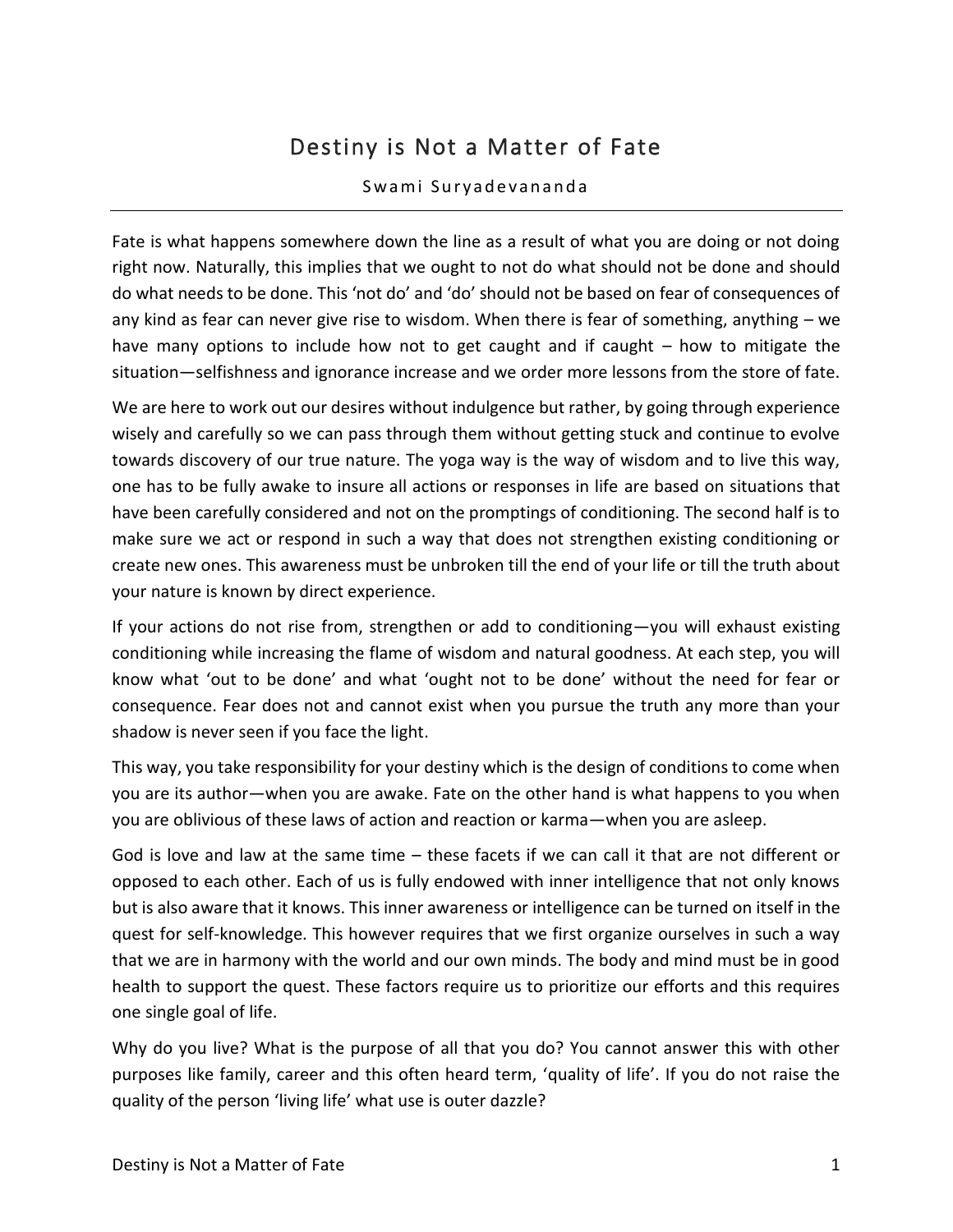## Destiny is Not a Matter of Fate

## Swami Suryadevananda

Fate is what happens somewhere down the line as a result of what you are doing or not doing right now. Naturally, this implies that we ought to not do what should not be done and should do what needs to be done. This 'not do' and 'do' should not be based on fear of consequences of any kind as fear can never give rise to wisdom. When there is fear of something, anything – we have many options to include how not to get caught and if caught – how to mitigate the situation—selfishness and ignorance increase and we order more lessons from the store of fate.

We are here to work out our desires without indulgence but rather, by going through experience wisely and carefully so we can pass through them without getting stuck and continue to evolve towards discovery of our true nature. The yoga way is the way of wisdom and to live this way, one has to be fully awake to insure all actions or responses in life are based on situations that have been carefully considered and not on the promptings of conditioning. The second half is to make sure we act or respond in such a way that does not strengthen existing conditioning or create new ones. This awareness must be unbroken till the end of your life or till the truth about your nature is known by direct experience.

If your actions do not rise from, strengthen or add to conditioning—you will exhaust existing conditioning while increasing the flame of wisdom and natural goodness. At each step, you will know what 'out to be done' and what 'ought not to be done' without the need for fear or consequence. Fear does not and cannot exist when you pursue the truth any more than your shadow is never seen if you face the light.

This way, you take responsibility for your destiny which is the design of conditions to come when you are its author—when you are awake. Fate on the other hand is what happens to you when you are oblivious of these laws of action and reaction or karma—when you are asleep.

God is love and law at the same time – these facets if we can call it that are not different or opposed to each other. Each of us is fully endowed with inner intelligence that not only knows but is also aware that it knows. This inner awareness or intelligence can be turned on itself in the quest for self-knowledge. This however requires that we first organize ourselves in such a way that we are in harmony with the world and our own minds. The body and mind must be in good health to support the quest. These factors require us to prioritize our efforts and this requires one single goal of life.

Why do you live? What is the purpose of all that you do? You cannot answer this with other purposes like family, career and this often heard term, 'quality of life'. If you do not raise the quality of the person 'living life' what use is outer dazzle?